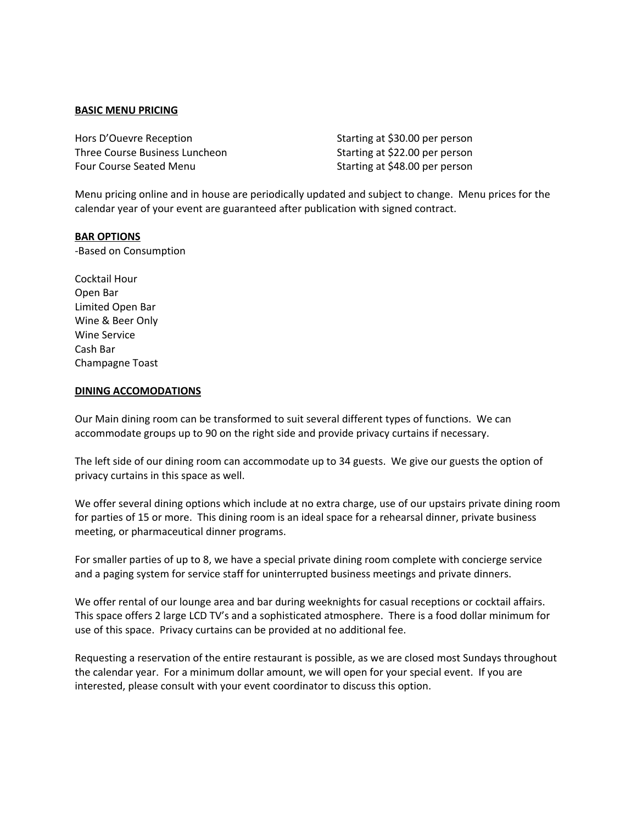#### **BASIC MENU PRICING**

Hors D'Ouevre Reception **Starting at \$30.00** per person Three Course Business Luncheon Starting at \$22.00 per person Four Course Seated Menu Starting at \$48.00 per person

Menu pricing online and in house are periodically updated and subject to change. Menu prices for the calendar year of your event are guaranteed after publication with signed contract.

#### **BAR OPTIONS**

-Based on Consumption

Cocktail Hour Open Bar Limited Open Bar Wine & Beer Only Wine Service Cash Bar Champagne Toast

#### **DINING ACCOMODATIONS**

Our Main dining room can be transformed to suit several different types of functions. We can accommodate groups up to 90 on the right side and provide privacy curtains if necessary.

The left side of our dining room can accommodate up to 34 guests. We give our guests the option of privacy curtains in this space as well.

We offer several dining options which include at no extra charge, use of our upstairs private dining room for parties of 15 or more. This dining room is an ideal space for a rehearsal dinner, private business meeting, or pharmaceutical dinner programs.

For smaller parties of up to 8, we have a special private dining room complete with concierge service and a paging system for service staff for uninterrupted business meetings and private dinners.

We offer rental of our lounge area and bar during weeknights for casual receptions or cocktail affairs. This space offers 2 large LCD TV's and a sophisticated atmosphere. There is a food dollar minimum for use of this space. Privacy curtains can be provided at no additional fee.

Requesting a reservation of the entire restaurant is possible, as we are closed most Sundays throughout the calendar year. For a minimum dollar amount, we will open for your special event. If you are interested, please consult with your event coordinator to discuss this option.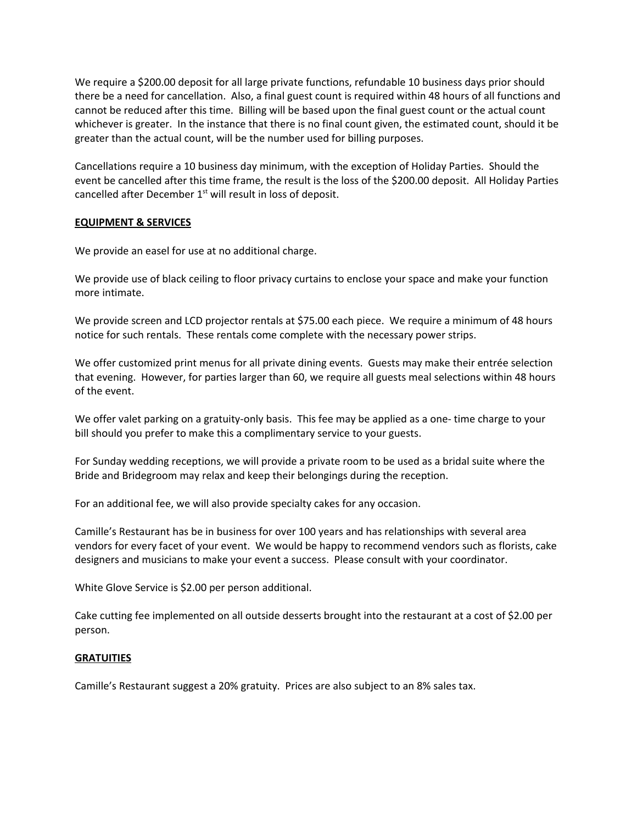We require a \$200.00 deposit for all large private functions, refundable 10 business days prior should there be a need for cancellation. Also, a final guest count is required within 48 hours of all functions and cannot be reduced after this time. Billing will be based upon the final guest count or the actual count whichever is greater. In the instance that there is no final count given, the estimated count, should it be greater than the actual count, will be the number used for billing purposes.

Cancellations require a 10 business day minimum, with the exception of Holiday Parties. Should the event be cancelled after this time frame, the result is the loss of the \$200.00 deposit. All Holiday Parties cancelled after December  $1<sup>st</sup>$  will result in loss of deposit.

#### **EQUIPMENT & SERVICES**

We provide an easel for use at no additional charge.

We provide use of black ceiling to floor privacy curtains to enclose your space and make your function more intimate.

We provide screen and LCD projector rentals at \$75.00 each piece. We require a minimum of 48 hours notice for such rentals. These rentals come complete with the necessary power strips.

We offer customized print menus for all private dining events. Guests may make their entrée selection that evening. However, for parties larger than 60, we require all guests meal selections within 48 hours of the event.

We offer valet parking on a gratuity-only basis. This fee may be applied as a one- time charge to your bill should you prefer to make this a complimentary service to your guests.

For Sunday wedding receptions, we will provide a private room to be used as a bridal suite where the Bride and Bridegroom may relax and keep their belongings during the reception.

For an additional fee, we will also provide specialty cakes for any occasion.

Camille's Restaurant has be in business for over 100 years and has relationships with several area vendors for every facet of your event. We would be happy to recommend vendors such as florists, cake designers and musicians to make your event a success. Please consult with your coordinator.

White Glove Service is \$2.00 per person additional.

Cake cutting fee implemented on all outside desserts brought into the restaurant at a cost of \$2.00 per person.

#### **GRATUITIES**

Camille's Restaurant suggest a 20% gratuity. Prices are also subject to an 8% sales tax.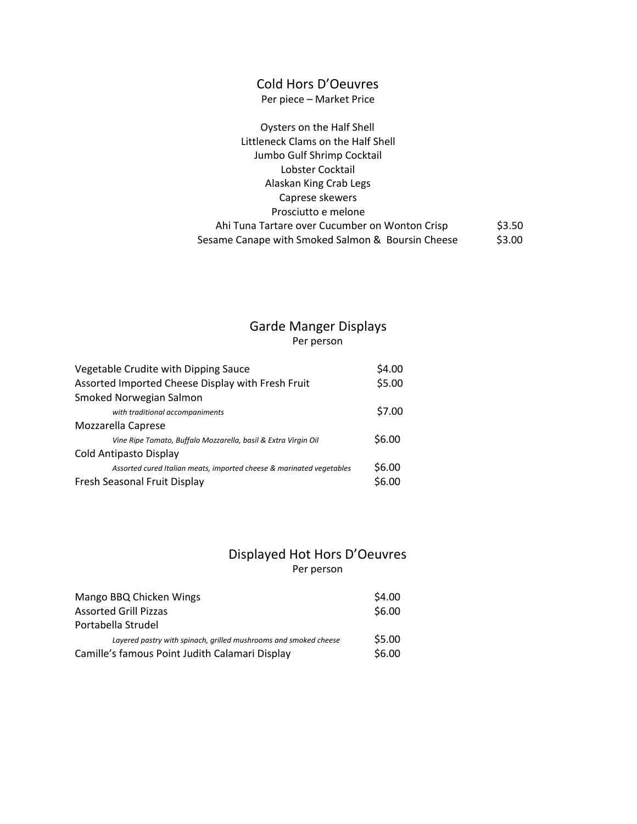# Cold Hors D'Oeuvres

Per piece – Market Price

| Oysters on the Half Shell                         |        |
|---------------------------------------------------|--------|
| Littleneck Clams on the Half Shell                |        |
| Jumbo Gulf Shrimp Cocktail                        |        |
| Lobster Cocktail                                  |        |
| Alaskan King Crab Legs                            |        |
| Caprese skewers                                   |        |
| Prosciutto e melone                               |        |
| Ahi Tuna Tartare over Cucumber on Wonton Crisp    | \$3.50 |
| Sesame Canape with Smoked Salmon & Boursin Cheese | \$3.00 |

### Garde Manger Displays Per person

| Vegetable Crudite with Dipping Sauce                                 | \$4.00 |
|----------------------------------------------------------------------|--------|
| Assorted Imported Cheese Display with Fresh Fruit                    | \$5.00 |
| Smoked Norwegian Salmon                                              |        |
| with traditional accompaniments                                      | \$7.00 |
| Mozzarella Caprese                                                   |        |
| Vine Ripe Tomato, Buffalo Mozzarella, basil & Extra Virgin Oil       | \$6.00 |
| Cold Antipasto Display                                               |        |
| Assorted cured Italian meats, imported cheese & marinated vegetables | \$6.00 |
| Fresh Seasonal Fruit Display                                         | \$6.00 |
|                                                                      |        |

# Displayed Hot Hors D'Oeuvres Per person

| Mango BBQ Chicken Wings                                          | \$4.00 |
|------------------------------------------------------------------|--------|
| <b>Assorted Grill Pizzas</b>                                     | \$6.00 |
| Portabella Strudel                                               |        |
| Layered pastry with spinach, grilled mushrooms and smoked cheese | \$5.00 |
| Camille's famous Point Judith Calamari Display                   | \$6.00 |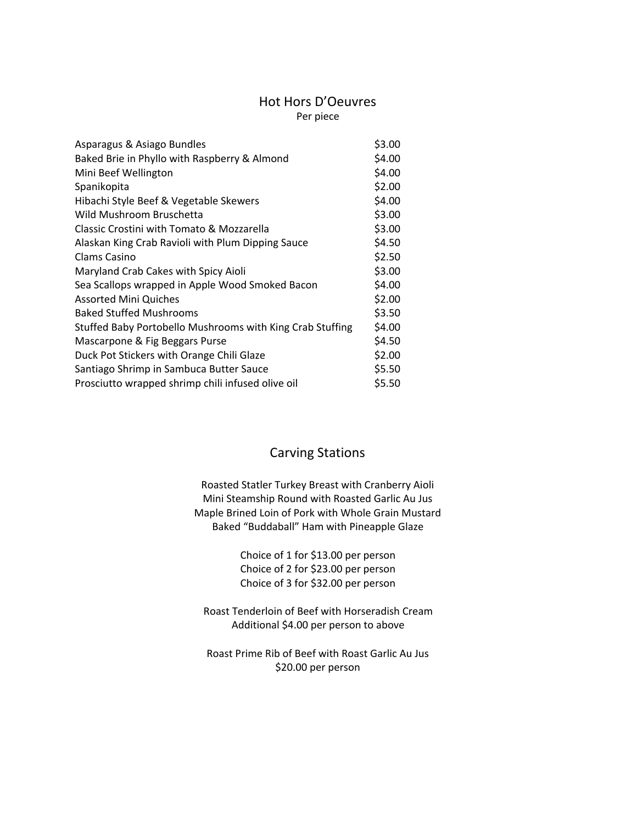# Hot Hors D'Oeuvres

Per piece

| Asparagus & Asiago Bundles                                | \$3.00 |
|-----------------------------------------------------------|--------|
| Baked Brie in Phyllo with Raspberry & Almond              | \$4.00 |
| Mini Beef Wellington                                      | \$4.00 |
| Spanikopita                                               | \$2.00 |
| Hibachi Style Beef & Vegetable Skewers                    | \$4.00 |
| Wild Mushroom Bruschetta                                  | \$3.00 |
| Classic Crostini with Tomato & Mozzarella                 | \$3.00 |
| Alaskan King Crab Ravioli with Plum Dipping Sauce         | \$4.50 |
| Clams Casino                                              | \$2.50 |
| Maryland Crab Cakes with Spicy Aioli                      | \$3.00 |
| Sea Scallops wrapped in Apple Wood Smoked Bacon           | \$4.00 |
| <b>Assorted Mini Quiches</b>                              | \$2.00 |
| <b>Baked Stuffed Mushrooms</b>                            | \$3.50 |
| Stuffed Baby Portobello Mushrooms with King Crab Stuffing | \$4.00 |
| Mascarpone & Fig Beggars Purse                            | \$4.50 |
| Duck Pot Stickers with Orange Chili Glaze                 | \$2.00 |
| Santiago Shrimp in Sambuca Butter Sauce                   | \$5.50 |
| Prosciutto wrapped shrimp chili infused olive oil         | \$5.50 |

# Carving Stations

Roasted Statler Turkey Breast with Cranberry Aioli Mini Steamship Round with Roasted Garlic Au Jus Maple Brined Loin of Pork with Whole Grain Mustard Baked "Buddaball" Ham with Pineapple Glaze

> Choice of 1 for \$13.00 per person Choice of 2 for \$23.00 per person Choice of 3 for \$32.00 per person

Roast Tenderloin of Beef with Horseradish Cream Additional \$4.00 per person to above

Roast Prime Rib of Beef with Roast Garlic Au Jus \$20.00 per person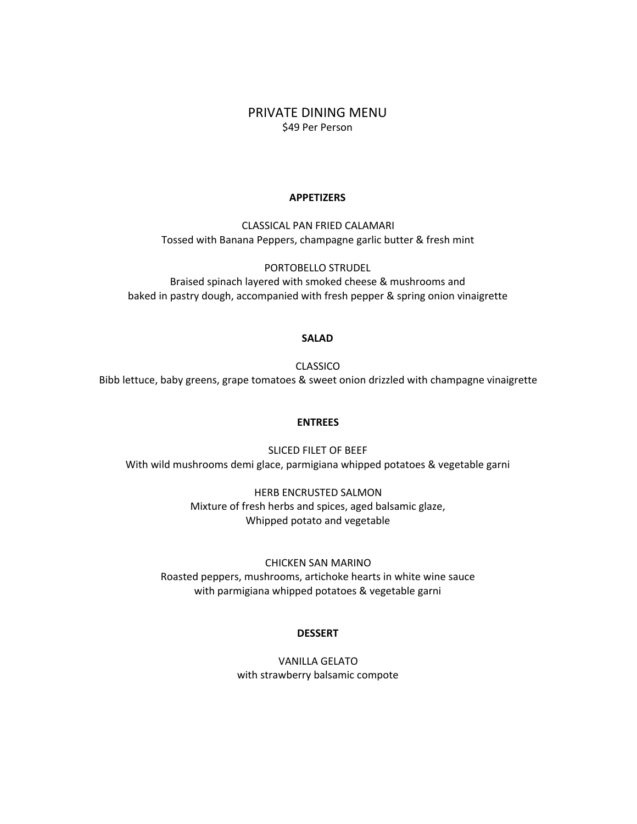PRIVATE DINING MENU \$49 Per Person

#### **APPETIZERS**

CLASSICAL PAN FRIED CALAMARI Tossed with Banana Peppers, champagne garlic butter & fresh mint

PORTOBELLO STRUDEL Braised spinach layered with smoked cheese & mushrooms and baked in pastry dough, accompanied with fresh pepper & spring onion vinaigrette

#### **SALAD**

CLASSICO Bibb lettuce, baby greens, grape tomatoes & sweet onion drizzled with champagne vinaigrette

#### **ENTREES**

SLICED FILET OF BEEF With wild mushrooms demi glace, parmigiana whipped potatoes & vegetable garni

> HERB ENCRUSTED SALMON Mixture of fresh herbs and spices, aged balsamic glaze, Whipped potato and vegetable

CHICKEN SAN MARINO Roasted peppers, mushrooms, artichoke hearts in white wine sauce with parmigiana whipped potatoes & vegetable garni

#### **DESSERT**

VANILLA GELATO with strawberry balsamic compote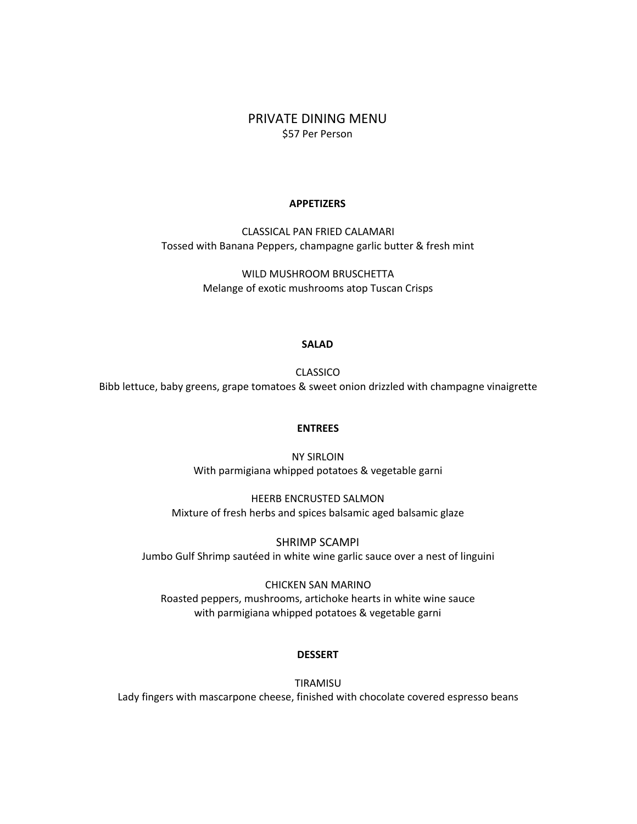PRIVATE DINING MENU \$57 Per Person

#### **APPETIZERS**

CLASSICAL PAN FRIED CALAMARI Tossed with Banana Peppers, champagne garlic butter & fresh mint

> WILD MUSHROOM BRUSCHETTA Melange of exotic mushrooms atop Tuscan Crisps

#### **SALAD**

CLASSICO Bibb lettuce, baby greens, grape tomatoes & sweet onion drizzled with champagne vinaigrette

#### **ENTREES**

NY SIRLOIN With parmigiana whipped potatoes & vegetable garni

HEERB ENCRUSTED SALMON Mixture of fresh herbs and spices balsamic aged balsamic glaze

SHRIMP SCAMPI Jumbo Gulf Shrimp sautéed in white wine garlic sauce over a nest of linguini

CHICKEN SAN MARINO Roasted peppers, mushrooms, artichoke hearts in white wine sauce with parmigiana whipped potatoes & vegetable garni

#### **DESSERT**

TIRAMISU Lady fingers with mascarpone cheese, finished with chocolate covered espresso beans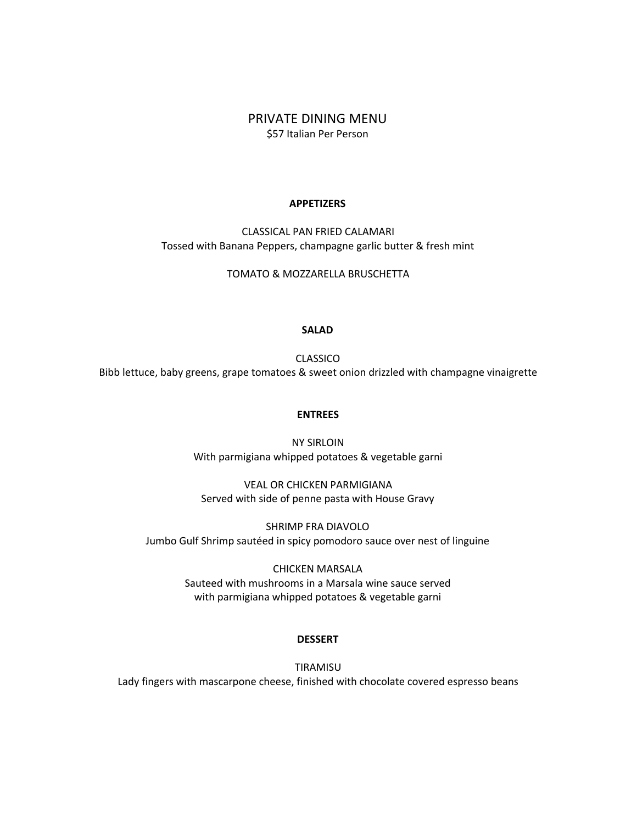### PRIVATE DINING MENU \$57 Italian Per Person

#### **APPETIZERS**

CLASSICAL PAN FRIED CALAMARI Tossed with Banana Peppers, champagne garlic butter & fresh mint

TOMATO & MOZZARELLA BRUSCHETTA

#### **SALAD**

CLASSICO Bibb lettuce, baby greens, grape tomatoes & sweet onion drizzled with champagne vinaigrette

#### **ENTREES**

NY SIRLOIN With parmigiana whipped potatoes & vegetable garni

VEAL OR CHICKEN PARMIGIANA Served with side of penne pasta with House Gravy

SHRIMP FRA DIAVOLO Jumbo Gulf Shrimp sautéed in spicy pomodoro sauce over nest of linguine

> CHICKEN MARSALA Sauteed with mushrooms in a Marsala wine sauce served with parmigiana whipped potatoes & vegetable garni

#### **DESSERT**

TIRAMISU Lady fingers with mascarpone cheese, finished with chocolate covered espresso beans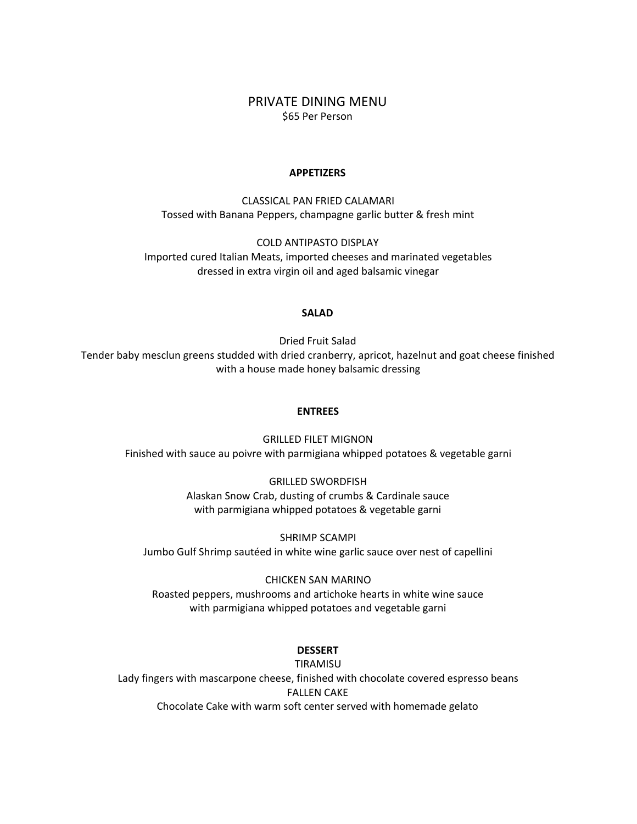### PRIVATE DINING MENU \$65 Per Person

#### **APPETIZERS**

CLASSICAL PAN FRIED CALAMARI Tossed with Banana Peppers, champagne garlic butter & fresh mint

COLD ANTIPASTO DISPLAY Imported cured Italian Meats, imported cheeses and marinated vegetables dressed in extra virgin oil and aged balsamic vinegar

#### **SALAD**

Dried Fruit Salad Tender baby mesclun greens studded with dried cranberry, apricot, hazelnut and goat cheese finished with a house made honey balsamic dressing

#### **ENTREES**

GRILLED FILET MIGNON Finished with sauce au poivre with parmigiana whipped potatoes & vegetable garni

> GRILLED SWORDFISH Alaskan Snow Crab, dusting of crumbs & Cardinale sauce with parmigiana whipped potatoes & vegetable garni

SHRIMP SCAMPI Jumbo Gulf Shrimp sautéed in white wine garlic sauce over nest of capellini

CHICKEN SAN MARINO Roasted peppers, mushrooms and artichoke hearts in white wine sauce with parmigiana whipped potatoes and vegetable garni

#### **DESSERT**

TIRAMISU

Lady fingers with mascarpone cheese, finished with chocolate covered espresso beans FALLEN CAKE Chocolate Cake with warm soft center served with homemade gelato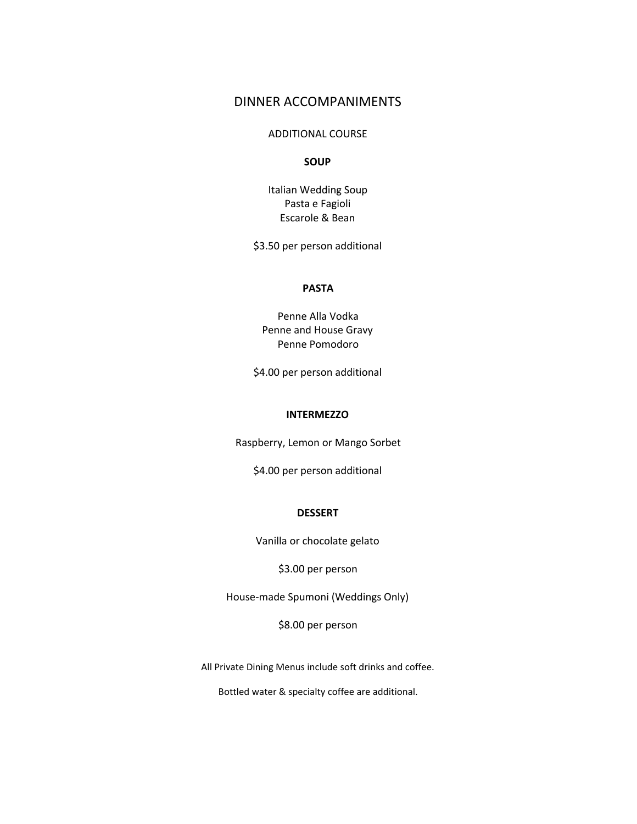## DINNER ACCOMPANIMENTS

#### ADDITIONAL COURSE

#### **SOUP**

Italian Wedding Soup Pasta e Fagioli Escarole & Bean

\$3.50 per person additional

#### **PASTA**

Penne Alla Vodka Penne and House Gravy Penne Pomodoro

\$4.00 per person additional

#### **INTERMEZZO**

Raspberry, Lemon or Mango Sorbet

\$4.00 per person additional

#### **DESSERT**

Vanilla or chocolate gelato

\$3.00 per person

House-made Spumoni (Weddings Only)

\$8.00 per person

All Private Dining Menus include soft drinks and coffee.

Bottled water & specialty coffee are additional.